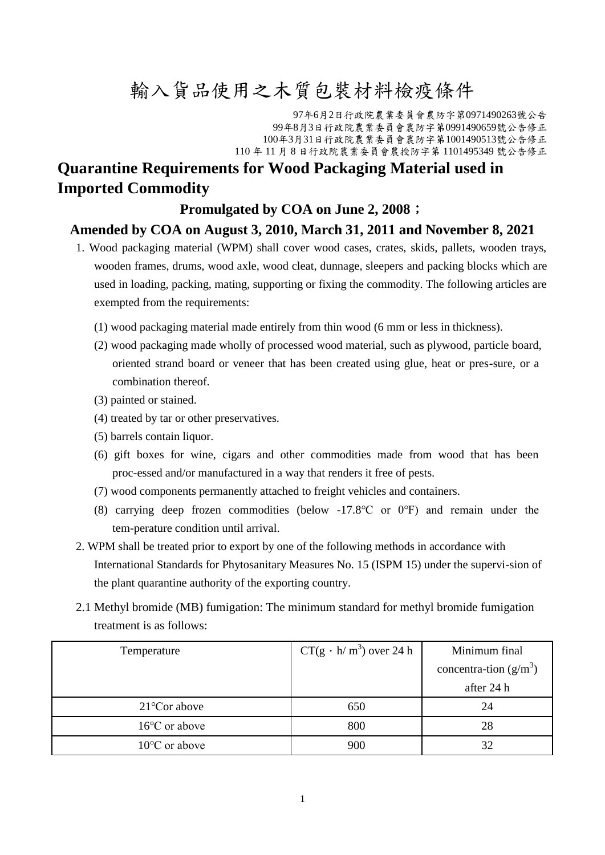## 輸入貨品使用之木質包裝材料檢疫條件

年6月2日行政院農業委員會農防字第0971490263號公告 年8月3日行政院農業委員會農防字第0991490659號公告修正 年3月31日行政院農業委員會農防字第1001490513號公告修正 年 11 月 8 日行政院農業委員會農授防字第 1101495349 號公告修正

## **Quarantine Requirements for Wood Packaging Material used in Imported Commodity**

## **Promulgated by COA on June 2, 2008**;

## **Amended by COA on August 3, 2010, March 31, 2011 and November 8, 2021**

- 1. Wood packaging material (WPM) shall cover wood cases, crates, skids, pallets, wooden trays, wooden frames, drums, wood axle, wood cleat, dunnage, sleepers and packing blocks which are used in loading, packing, mating, supporting or fixing the commodity. The following articles are exempted from the requirements:
	- (1) wood packaging material made entirely from thin wood (6 mm or less in thickness).
	- (2) wood packaging made wholly of processed wood material, such as plywood, particle board, oriented strand board or veneer that has been created using glue, heat or pres-sure, or a combination thereof.
	- (3) painted or stained.
	- (4) treated by tar or other preservatives.
	- (5) barrels contain liquor.
	- (6) gift boxes for wine, cigars and other commodities made from wood that has been proc-essed and/or manufactured in a way that renders it free of pests.
	- (7) wood components permanently attached to freight vehicles and containers.
	- (8) carrying deep frozen commodities (below -17.8℃ or 0℉) and remain under the tem-perature condition until arrival.
- 2. WPM shall be treated prior to export by one of the following methods in accordance with International Standards for Phytosanitary Measures No. 15 (ISPM 15) under the supervi-sion of the plant quarantine authority of the exporting country.
- 2.1 Methyl bromide (MB) fumigation: The minimum standard for methyl bromide fumigation treatment is as follows:

| Temperature             | $CT(g \cdot h/m^3)$ over 24 h | Minimum final            |  |
|-------------------------|-------------------------------|--------------------------|--|
|                         |                               | concentra-tion $(g/m^3)$ |  |
|                         |                               | after 24 h               |  |
| $21^{\circ}$ Cor above  | 650                           | 24                       |  |
| $16^{\circ}$ C or above | 800                           | 28                       |  |
| $10^{\circ}$ C or above | 900                           |                          |  |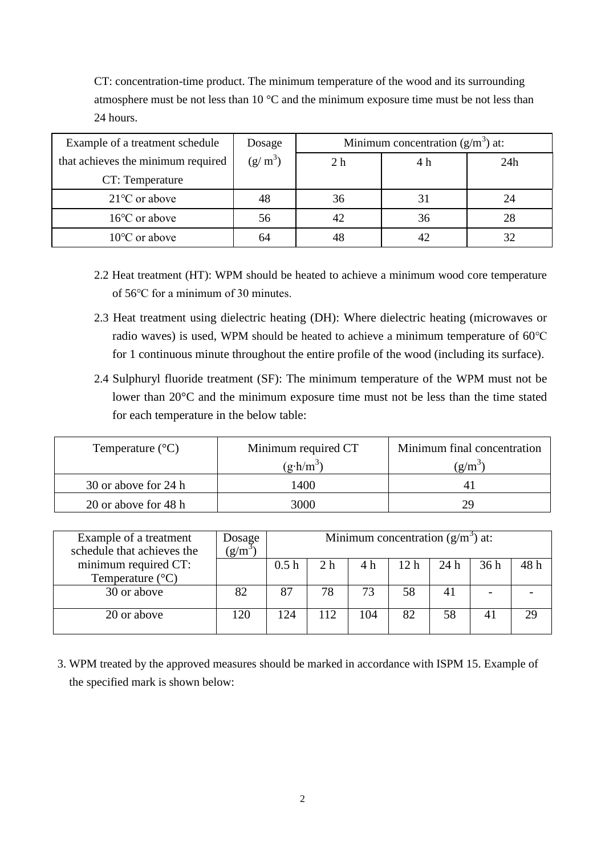CT: concentration-time product. The minimum temperature of the wood and its surrounding atmosphere must be not less than 10 °C and the minimum exposure time must be not less than 24 hours.

| Example of a treatment schedule    | Dosage    | Minimum concentration $(g/m^3)$ at: |     |     |  |
|------------------------------------|-----------|-------------------------------------|-----|-----|--|
| that achieves the minimum required | $(g/m^3)$ | 2 <sub>h</sub>                      | 4 h | 24h |  |
| CT: Temperature                    |           |                                     |     |     |  |
| $21^{\circ}$ C or above            | 48        | 36                                  |     | 24  |  |
| $16^{\circ}$ C or above            | 56        |                                     | 36  | 28  |  |
| $10^{\circ}$ C or above            | 64        |                                     |     | 32  |  |

- 2.2 Heat treatment (HT): WPM should be heated to achieve a minimum wood core temperature of 56℃ for a minimum of 30 minutes.
- 2.3 Heat treatment using dielectric heating (DH): Where dielectric heating (microwaves or radio waves) is used, WPM should be heated to achieve a minimum temperature of 60℃ for 1 continuous minute throughout the entire profile of the wood (including its surface).
- 2.4 Sulphuryl fluoride treatment (SF): The minimum temperature of the WPM must not be lower than 20°C and the minimum exposure time must not be less than the time stated for each temperature in the below table:

| Temperature $({}^{\circ}C)$ | Minimum required CT | Minimum final concentration |  |  |
|-----------------------------|---------------------|-----------------------------|--|--|
|                             | $(g\cdot h/m^3)$    | g/m                         |  |  |
| 30 or above for 24 h        | 1400                |                             |  |  |
| 20 or above for 48 h        | 3000                | ЭG                          |  |  |

| Example of a treatment<br>schedule that achieves the | Dosage    | Minimum concentration $(g/m^3)$ at: |     |     |      |                |      |      |
|------------------------------------------------------|-----------|-------------------------------------|-----|-----|------|----------------|------|------|
|                                                      | $(g/m^3)$ |                                     |     |     |      |                |      |      |
| minimum required CT:                                 |           | 0.5h                                | 2 h | 4 h | 12 h | 24 h           | 36 h | 48 h |
| Temperature $(^{\circ}C)$                            |           |                                     |     |     |      |                |      |      |
| 30 or above                                          | 82        | 87                                  | 78  | 73  | 58   | 4 <sub>1</sub> |      |      |
|                                                      |           |                                     |     |     |      |                |      |      |
| 20 or above                                          | 120       | 124                                 | 112 | 104 | 82   | 58             | 41   | 29   |
|                                                      |           |                                     |     |     |      |                |      |      |

3. WPM treated by the approved measures should be marked in accordance with ISPM 15. Example of the specified mark is shown below: